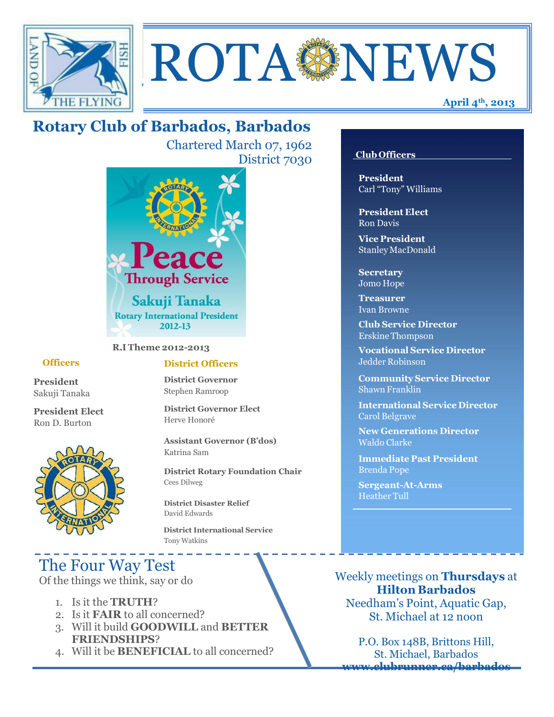

# ROTA NEWS

## **Rotary Club of Barbados, Barbados**

Chartered March 07, 1962 District 7030



**R.I Theme 2012-2013**

#### **Officers**

**President** Sakuji Tanaka

**President Elect** Ron D. Burton



#### **District Officers**

**District Governor** Stephen Ramroop

**District Governor Elect** Herve Honoré

**Assistant Governor (B'dos)** Katrina Sam

**District Rotary Foundation Chair** Cees Dilweg

**District Disaster Relief**  David Edwards

 **District International Service** Tony Watkins

## The Four Way Test

Of the things we think, say or do

- 1. Is it the **TRUTH**?
- 2. Is it **FAIR** to all concerned?
- 3. Will it build **GOODWILL** and **BETTER FRIENDSHIPS**?
- 4. Will it be **BENEFICIAL** to all concerned?

#### **Club Officers**

**President** Carl "Tony" Williams

**President Elect** Ron Davis

**Vice President** StanleyMacDonald

**Secretary** Jomo Hope

**Treasurer** Ivan Browne

**Club Service Director** Erskine Thompson

**Vocational Service Director** Jedder Robinson

**Community Service Director** Shawn Franklin

**International Service Director** Carol Belgrave

**New Generations Director** Waldo Clarke

**Immediate Past President** Brenda Pope

**Sergeant-At-Arms** Heather Tull

Weekly meetings on **Thursdays** at **Hilton Barbados** Needham's Point, Aquatic Gap, St. Michael at 12 noon

P.O. Box 148B, Brittons Hill, St. Michael, Barbados **[www.clubrunner.ca/barbados](http://www.clubrunner.ca/barbados)**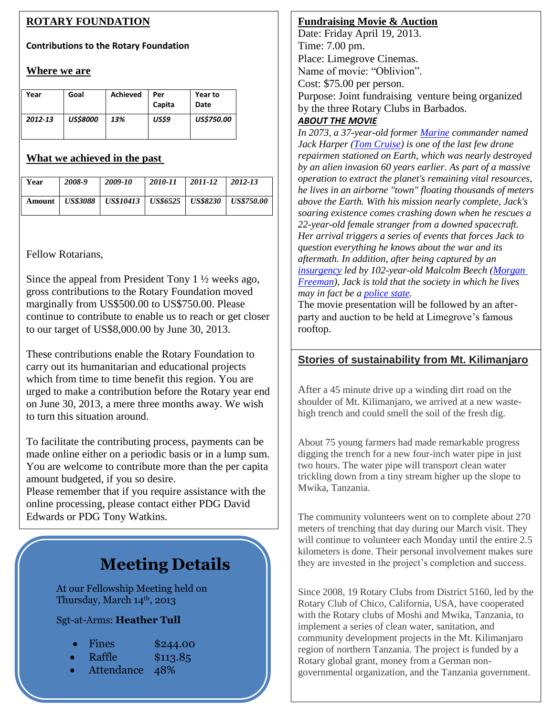#### **ROTARY FOUNDATION**

#### **Contributions to the Rotary Foundation**

#### **Where we are**

| Year    | Goal            | <b>Achieved</b> | Per<br>Capita | Year to<br>Date   |
|---------|-----------------|-----------------|---------------|-------------------|
| 2012-13 | <b>US\$8000</b> | 13%             | US\$9         | <b>US\$750.00</b> |

#### **What we achieved in the past**

| Year | 2008-9 | 2009-10                                                          | 2010-11 | 2011-12 | 2012-13 |
|------|--------|------------------------------------------------------------------|---------|---------|---------|
|      |        | Amount   US\$3088   US\$10413   US\$6525   US\$8230   US\$750.00 |         |         |         |

Fellow Rotarians,

I

Since the appeal from President Tony 1 ½ weeks ago, gross contributions to the Rotary Foundation moved marginally from US\$500.00 to US\$750.00. Please continue to contribute to enable us to reach or get closer to our target of US\$8,000.00 by June 30, 2013.

These contributions enable the Rotary Foundation to carry out its humanitarian and educational projects which from time to time benefit this region. You are urged to make a contribution before the Rotary year end on June 30, 2013, a mere three months away. We wish to turn this situation around.

To facilitate the contributing process, payments can be made online either on a periodic basis or in a lump sum. You are welcome to contribute more than the per capita amount budgeted, if you so desire.

Please remember that if you require assistance with the online processing, please contact either PDG David Edwards or PDG Tony Watkins.

## **Meeting Details**

At our Fellowship Meeting held on Thursday, March 14th, 2013

Sgt-at-Arms: **Heather Tull**

- Fines  $$244.00$
- Raffle \$113.85
- Attendance 48%

#### **Fundraising Movie & Auction**

Date: Friday April 19, 2013. Time: 7.00 pm. Place: Limegrove Cinemas. Name of movie: "Oblivion". Cost: \$75.00 per person. Purpose: Joint fundraising venture being organized by the three Rotary Clubs in Barbados.

#### *ABOUT THE MOVIE*

*In 2073, a 37-year-old former [Marine](http://en.wikipedia.org/wiki/Marine_%28military%29) commander named Jack Harper [\(Tom Cruise\)](http://en.wikipedia.org/wiki/Tom_Cruise) is one of the last few drone repairmen stationed on Earth, which was nearly destroyed by an alien invasion 60 years earlier. As part of a massive operation to extract the planet's remaining vital resources, he lives in an airborne "town" floating thousands of meters above the Earth. With his mission nearly complete, Jack's soaring existence comes crashing down when he rescues a 22-year-old female stranger from a downed spacecraft. Her arrival triggers a series of events that forces Jack to question everything he knows about the war and its aftermath. In addition, after being captured by an [insurgency](http://en.wikipedia.org/wiki/Insurgency) led by 102-year-old Malcolm Beech [\(Morgan](http://en.wikipedia.org/wiki/Morgan_Freeman)  [Freeman\)](http://en.wikipedia.org/wiki/Morgan_Freeman), Jack is told that the society in which he lives may in fact be a [police state.](http://en.wikipedia.org/wiki/Police_state)*

The movie presentation will be followed by an afterparty and auction to be held at Limegrove's famous rooftop.

#### **Stories of sustainability from Mt. Kilimanjaro**

After a 45 minute drive up a winding dirt road on the shoulder of Mt. Kilimanjaro, we arrived at a new wastehigh trench and could smell the soil of the fresh dig.

About 75 young farmers had made remarkable progress digging the trench for a new four-inch water pipe in just two hours. The water pipe will transport clean water trickling down from a tiny stream higher up the slope to Mwika, Tanzania.

The community volunteers went on to complete about 270 meters of trenching that day during our March visit. They will continue to volunteer each Monday until the entire 2.5 kilometers is done. Their personal involvement makes sure they are invested in the project's completion and success.

Since 2008, 19 Rotary Clubs from District 5160, led by the Rotary Club of Chico, California, USA, have cooperated with the Rotary clubs of Moshi and Mwika, Tanzania, to implement a series of clean water, sanitation, and community development projects in the Mt. Kilimanjaro region of northern Tanzania. The project is funded by a Rotary global grant, money from a German nongovernmental organization, and the Tanzania government.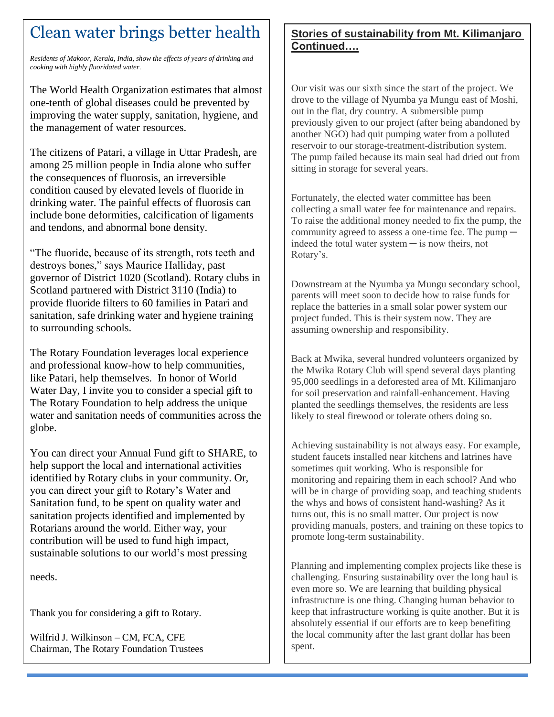## Clean water brings better health

*Residents of Makoor, Kerala, India, show the effects of years of drinking and cooking with highly fluoridated water.*

GREET **GREET** The World Health Organization estimates that almost one-tenth of global diseases could be prevented by improving the water supply, sanitation, hygiene, and the management of water resources.

The citizens of Patari, a village in Uttar Pradesh, are among 25 million people in India alone who suffer the consequences of fluorosis, an irreversible condition caused by elevated levels of fluoride in drinking water. The painful effects of fluorosis can include bone deformities, calcification of ligaments and tendons, and abnormal bone density.

"The fluoride, because of its strength, rots teeth and destroys bones," says Maurice Halliday, past governor of District 1020 (Scotland). Rotary clubs in Scotland partnered with District 3110 (India) to provide fluoride filters to 60 families in Patari and sanitation, safe drinking water and hygiene training to surrounding schools.

The Rotary Foundation leverages local experience and professional know-how to help communities, like Patari, help themselves. In honor of World Water Day, I invite you to consider a special gift to The Rotary Foundation to help address the unique water and sanitation needs of communities across the globe.

You can direct your Annual Fund gift to SHARE, to help support the local and international activities identified by Rotary clubs in your community. Or, you can direct your gift to Rotary's Water and Sanitation fund, to be spent on quality water and sanitation projects identified and implemented by Rotarians around the world. Either way, your contribution will be used to fund high impact, sustainable solutions to our world's most pressing

needs.

Thank you for considering a gift to Rotary.

Wilfrid J. Wilkinson – CM, FCA, CFE Chairman, The Rotary Foundation Trustees

#### **Stories of sustainability from Mt. Kilimanjaro Continued….**

Our visit was our sixth since the start of the project. We drove to the village of Nyumba ya Mungu east of Moshi, out in the flat, dry country. A submersible pump previously given to our project (after being abandoned by another NGO) had quit pumping water from a polluted reservoir to our storage-treatment-distribution system. The pump failed because its main seal had dried out from sitting in storage for several years.

Fortunately, the elected water committee has been collecting a small water fee for maintenance and repairs. To raise the additional money needed to fix the pump, the community agreed to assess a one-time fee. The pump  $$ indeed the total water system  $-$  is now theirs, not Rotary's.

Downstream at the Nyumba ya Mungu secondary school, parents will meet soon to decide how to raise funds for replace the batteries in a small solar power system our project funded. This is their system now. They are assuming ownership and responsibility.

Back at Mwika, several hundred volunteers organized by the Mwika Rotary Club will spend several days planting 95,000 seedlings in a deforested area of Mt. Kilimanjaro for soil preservation and rainfall-enhancement. Having planted the seedlings themselves, the residents are less likely to steal firewood or tolerate others doing so.

Achieving sustainability is not always easy. For example, student faucets installed near kitchens and latrines have sometimes quit working. Who is responsible for monitoring and repairing them in each school? And who will be in charge of providing soap, and teaching students the whys and hows of consistent hand-washing? As it turns out, this is no small matter. Our project is now providing manuals, posters, and training on these topics to promote long-term sustainability.

Planning and implementing complex projects like these is challenging. Ensuring sustainability over the long haul is even more so. We are learning that building physical infrastructure is one thing. Changing human behavior to keep that infrastructure working is quite another. But it is absolutely essential if our efforts are to keep benefiting the local community after the last grant dollar has been spent.